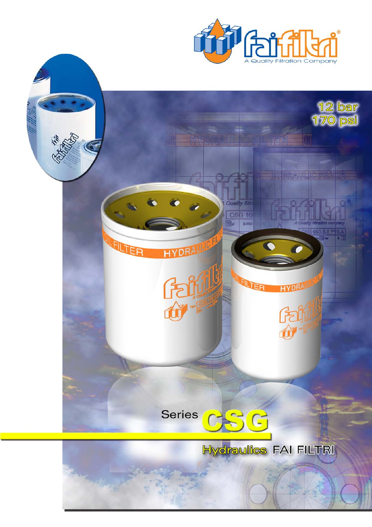

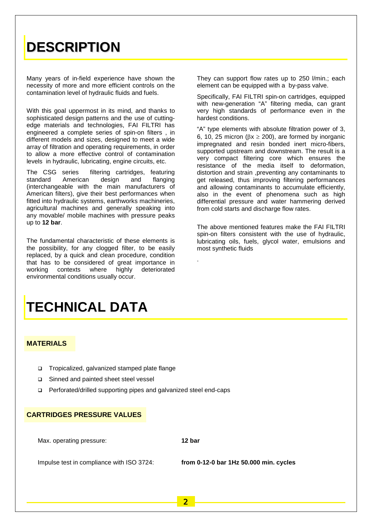## **DESCRIPTION**

Many years of in-field experience have shown the necessity of more and more efficient controls on the contamination level of hydraulic fluids and fuels.

With this goal uppermost in its mind, and thanks to sophisticated design patterns and the use of cuttingedge materials and technologies, FAI FILTRI has engineered a complete series of spin-on filters , in different models and sizes, designed to meet a wide array of filtration and operating requirements, in order to allow a more effective control of contamination levels in hydraulic, lubricating, engine circuits, etc.

The CSG series filtering cartridges, featuring standard American design and flanging (interchangeable with the main manufacturers of American filters), give their best performances when fitted into hydraulic systems, earthworks machineries, agricultural machines and generally speaking into any movable/ mobile machines with pressure peaks up to **12 bar**.

The fundamental characteristic of these elements is the possibility, for any clogged filter, to be easily replaced, by a quick and clean procedure, condition that has to be considered of great importance in<br>working contexts where highly deteriorated working contexts environmental conditions usually occur.

#### They can support flow rates up to 250 l/min.; each element can be equipped with a by-pass valve.

Specifically, FAI FILTRI spin-on cartridges, equipped with new-generation "A" filtering media, can grant very high standards of performance even in the hardest conditions.

"A" type elements with absolute filtration power of 3, 6, 10, 25 micron ( $\beta x \ge 200$ ), are formed by inorganic impregnated and resin bonded inert micro-fibers, supported upstream and downstream. The result is a very compact filtering core which ensures the resistance of the media itself to deformation, distortion and strain ,preventing any contaminants to get released, thus improving filtering performances and allowing contaminants to accumulate efficiently, also in the event of phenomena such as high differential pressure and water hammering derived from cold starts and discharge flow rates.

The above mentioned features make the FAI FILTRI spin-on filters consistent with the use of hydraulic, lubricating oils, fuels, glycol water, emulsions and most synthetic fluids

## **TECHNICAL DATA**

#### **MATERIALS**

- □ Tropicalized, galvanized stamped plate flange
- □ Sinned and painted sheet steel vessel
- □ Perforated/drilled supporting pipes and galvanized steel end-caps

#### **CARTRIDGES PRESSURE VALUES**

Max. operating pressure: **12 bar**

.

Impulse test in compliance with ISO 3724: **from 0-12-0 bar 1Hz 50.000 min. cycles**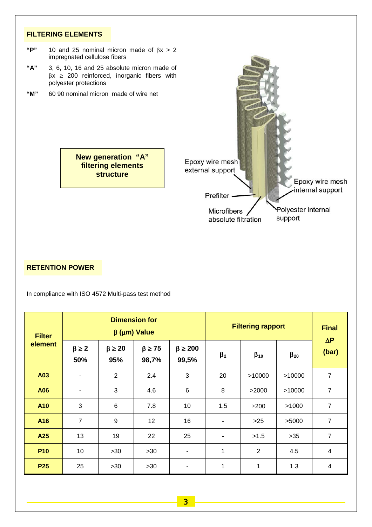#### **FILTERING ELEMENTS**

- "P" 10 and 25 nominal micron made of  $βx > 2$ impregnated cellulose fibers
- **"A"** 3, 6, 10, 16 and 25 absolute micron made of  $\beta x \ge 200$  reinforced, inorganic fibers with polyester protections
- **"M"** 60 90 nominal micron made of wire net

**New generation "A" filtering elements structure**



#### **RETENTION POWER**

In compliance with ISO 4572 Multi-pass test method

| <b>Filter</b><br>element | <b>Dimension for</b><br>$\beta$ ( $\mu$ m) Value |                        |                          |                           | <b>Filtering rapport</b> | <b>Final</b>   |              |                          |
|--------------------------|--------------------------------------------------|------------------------|--------------------------|---------------------------|--------------------------|----------------|--------------|--------------------------|
|                          | $\beta \geq 2$<br>50%                            | $\beta \geq 20$<br>95% | $\beta \geq 75$<br>98,7% | $\beta \geq 200$<br>99,5% | $\beta_2$                | $\beta_{10}$   | $\beta_{20}$ | $\Delta P$<br>(bar)      |
| A03                      | $\blacksquare$                                   | $\overline{2}$         | 2.4                      | 3                         | 20                       | >10000         | >10000       | $\overline{7}$           |
| A06                      | ٠                                                | 3                      | 4.6                      | 6                         | 8                        | >2000          | >10000       | $\overline{7}$           |
| A10                      | 3                                                | 6                      | 7.8                      | 10                        | 1.5                      | $\geq$ 200     | >1000        | $\overline{7}$           |
| A16                      | 7                                                | 9                      | 12                       | 16                        | ۰                        | $>25$          | >5000        | $\overline{7}$           |
| A25                      | 13                                               | 19                     | 22                       | 25                        | ۰                        | >1.5           | $>35$        | $\overline{7}$           |
| <b>P10</b>               | 10                                               | >30                    | $>30$                    |                           | 1                        | $\overline{2}$ | 4.5          | $\overline{\mathcal{A}}$ |
| <b>P25</b>               | 25                                               | >30                    | >30                      |                           | 1                        | 1              | 1.3          | 4                        |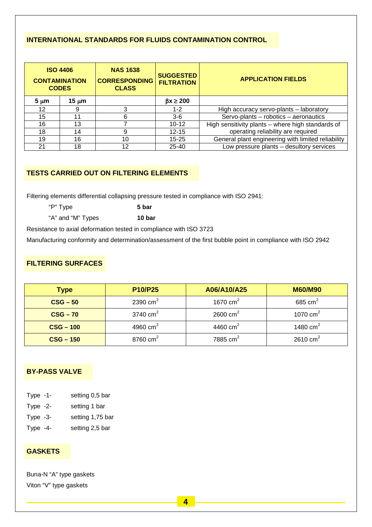## **INTERNATIONAL STANDARDS FOR FLUIDS CONTAMINATION CONTROL**

| <b>ISO 4406</b><br><b>CONTAMINATION</b><br><b>CODES</b> |            | <b>NAS 1638</b><br><b>CORRESPONDING</b><br><b>CLASS</b> | <b>SUGGESTED</b><br><b>FILTRATION</b> | <b>APPLICATION FIELDS</b>                          |  |
|---------------------------------------------------------|------------|---------------------------------------------------------|---------------------------------------|----------------------------------------------------|--|
| $5 \mu m$                                               | 15 $\mu$ m |                                                         | $\beta x \geq 200$                    |                                                    |  |
| 12                                                      | 9          | $1 - 2$                                                 |                                       | High accuracy servo-plants - laboratory            |  |
| 15                                                      | 11         |                                                         | $3-6$                                 | Servo-plants - robotics - aeronautics              |  |
| 16                                                      | 13         |                                                         | $10 - 12$                             | High sensitivity plants - where high standards of  |  |
| 18                                                      | 14         |                                                         | $12 - 15$                             | operating reliability are required                 |  |
| 19                                                      | 16         | 10                                                      | $15 - 25$                             | General plant engineering with limited reliability |  |
| 21                                                      | 18         | 12                                                      | $25 - 40$                             | Low pressure plants - desultory services           |  |

## **TESTS CARRIED OUT ON FILTERING ELEMENTS**

Filtering elements differential collapsing pressure tested in compliance with ISO 2941:

"P" Type **5 bar**

"A" and "M" Types **10 bar**

Resistance to axial deformation tested in compliance with ISO 3723

Manufacturing conformity and determination/assessment of the first bubble point in compliance with ISO 2942

### **FILTERING SURFACES**

| <b>Type</b>               | <b>P10/P25</b> | A06/A10/A25            | <b>M60/M90</b> |  |
|---------------------------|----------------|------------------------|----------------|--|
| $CSG - 50$                | 2390 $cm2$     | 1670 $\text{cm}^2$     | 685 cm $^2$    |  |
| $CSG - 70$                | 3740 $cm2$     | $2600 \text{ cm}^2$    | 1070 $cm2$     |  |
| $CSG - 100$               | 4960 $cm2$     | 4460 $cm2$             | 1480 $cm2$     |  |
| 8760 $cm2$<br>$CSG - 150$ |                | $7885$ cm <sup>2</sup> | 2610 $cm2$     |  |

### **BY-PASS VALVE**

- Type -2- setting 1 bar
- Type -3- setting 1,75 bar
- Type -4- setting 2,5 bar

### **GASKETS**

Buna-N "A" type gaskets Viton "V" type gaskets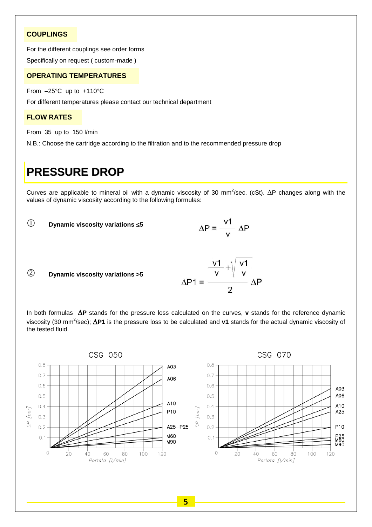#### **COUPLINGS**

For the different couplings see order forms

Specifically on request ( custom-made )

#### **OPERATING TEMPERATURES**

From –25°C up to +110°C

For different temperatures please contact our technical department

#### **FLOW RATES**

From 35 up to 150 l/min

N.B.: Choose the cartridge according to the filtration and to the recommended pressure drop

## **PRESSURE DROP**

Curves are applicable to mineral oil with a dynamic viscosity of 30 mm<sup>2</sup>/sec. (cSt).  $\Delta P$  changes along with the values of dynamic viscosity according to the following formulas:



In both formulas ∆**P** stands for the pressure loss calculated on the curves, **v** stands for the reference dynamic viscosity (30 mm<sup>2</sup>/sec); **∆P1** is the pressure loss to be calculated and v1 stands for the actual dynamic viscosity of the tested fluid.

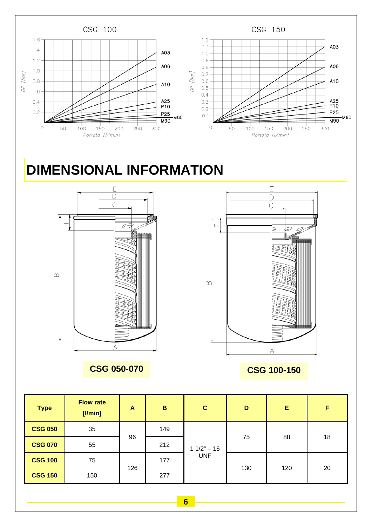

| <b>Type</b>    | <b>Flow rate</b><br>$[$ l/min $]$ | A   | $\mathbf B$ | $\mathbf{C}$               | D   | E   | F  |
|----------------|-----------------------------------|-----|-------------|----------------------------|-----|-----|----|
| <b>CSG 050</b> | 35                                | 96  | 149         | $11/2" - 16$<br><b>UNF</b> | 75  | 88  | 18 |
| <b>CSG 070</b> | 55                                |     | 212         |                            |     |     |    |
| <b>CSG 100</b> | 75                                | 126 | 177         |                            | 130 | 120 | 20 |
| <b>CSG 150</b> | 150                               |     | 277         |                            |     |     |    |